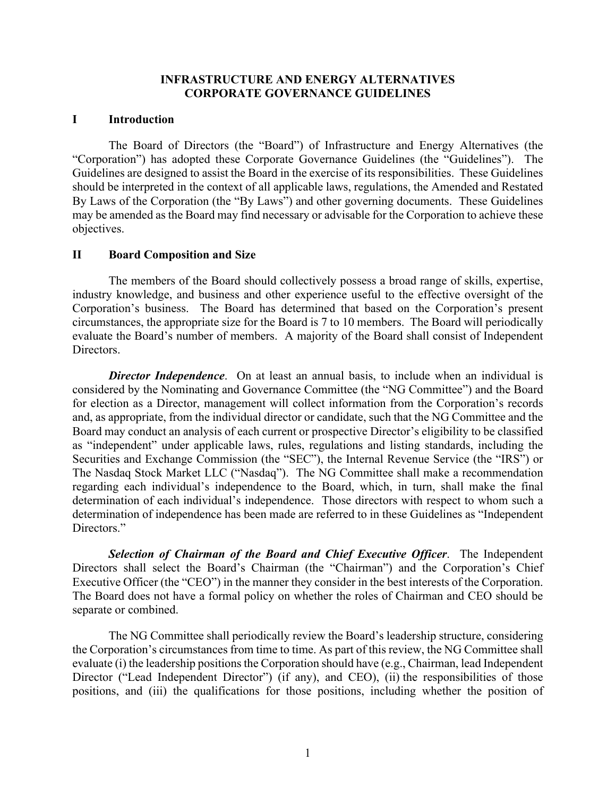### **INFRASTRUCTURE AND ENERGY ALTERNATIVES CORPORATE GOVERNANCE GUIDELINES**

#### **I Introduction**

The Board of Directors (the "Board") of Infrastructure and Energy Alternatives (the "Corporation") has adopted these Corporate Governance Guidelines (the "Guidelines"). The Guidelines are designed to assist the Board in the exercise of its responsibilities. These Guidelines should be interpreted in the context of all applicable laws, regulations, the Amended and Restated By Laws of the Corporation (the "By Laws") and other governing documents. These Guidelines may be amended as the Board may find necessary or advisable for the Corporation to achieve these objectives.

### **II Board Composition and Size**

The members of the Board should collectively possess a broad range of skills, expertise, industry knowledge, and business and other experience useful to the effective oversight of the Corporation's business. The Board has determined that based on the Corporation's present circumstances, the appropriate size for the Board is 7 to 10 members. The Board will periodically evaluate the Board's number of members. A majority of the Board shall consist of Independent Directors.

*Director Independence*. On at least an annual basis, to include when an individual is considered by the Nominating and Governance Committee (the "NG Committee") and the Board for election as a Director, management will collect information from the Corporation's records and, as appropriate, from the individual director or candidate, such that the NG Committee and the Board may conduct an analysis of each current or prospective Director's eligibility to be classified as "independent" under applicable laws, rules, regulations and listing standards, including the Securities and Exchange Commission (the "SEC"), the Internal Revenue Service (the "IRS") or The Nasdaq Stock Market LLC ("Nasdaq"). The NG Committee shall make a recommendation regarding each individual's independence to the Board, which, in turn, shall make the final determination of each individual's independence. Those directors with respect to whom such a determination of independence has been made are referred to in these Guidelines as "Independent Directors."

*Selection of Chairman of the Board and Chief Executive Officer*. The Independent Directors shall select the Board's Chairman (the "Chairman") and the Corporation's Chief Executive Officer (the "CEO") in the manner they consider in the best interests of the Corporation. The Board does not have a formal policy on whether the roles of Chairman and CEO should be separate or combined.

The NG Committee shall periodically review the Board's leadership structure, considering the Corporation's circumstances from time to time. As part of this review, the NG Committee shall evaluate (i) the leadership positions the Corporation should have (e.g., Chairman, lead Independent Director ("Lead Independent Director") (if any), and CEO), (ii) the responsibilities of those positions, and (iii) the qualifications for those positions, including whether the position of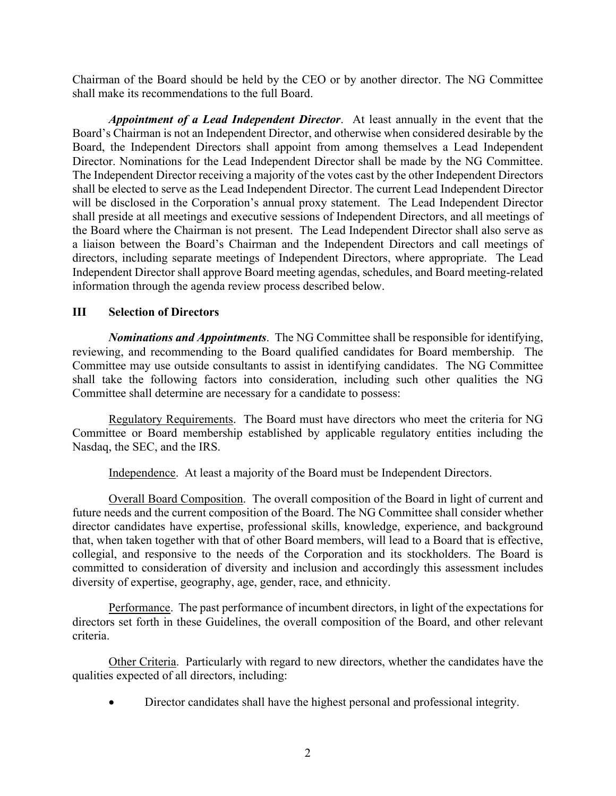Chairman of the Board should be held by the CEO or by another director. The NG Committee shall make its recommendations to the full Board.

*Appointment of a Lead Independent Director*. At least annually in the event that the Board's Chairman is not an Independent Director, and otherwise when considered desirable by the Board, the Independent Directors shall appoint from among themselves a Lead Independent Director. Nominations for the Lead Independent Director shall be made by the NG Committee. The Independent Director receiving a majority of the votes cast by the other Independent Directors shall be elected to serve as the Lead Independent Director. The current Lead Independent Director will be disclosed in the Corporation's annual proxy statement. The Lead Independent Director shall preside at all meetings and executive sessions of Independent Directors, and all meetings of the Board where the Chairman is not present. The Lead Independent Director shall also serve as a liaison between the Board's Chairman and the Independent Directors and call meetings of directors, including separate meetings of Independent Directors, where appropriate. The Lead Independent Director shall approve Board meeting agendas, schedules, and Board meeting-related information through the agenda review process described below.

## **III Selection of Directors**

*Nominations and Appointments*. The NG Committee shall be responsible for identifying, reviewing, and recommending to the Board qualified candidates for Board membership. The Committee may use outside consultants to assist in identifying candidates. The NG Committee shall take the following factors into consideration, including such other qualities the NG Committee shall determine are necessary for a candidate to possess:

Regulatory Requirements. The Board must have directors who meet the criteria for NG Committee or Board membership established by applicable regulatory entities including the Nasdaq, the SEC, and the IRS.

Independence. At least a majority of the Board must be Independent Directors.

Overall Board Composition. The overall composition of the Board in light of current and future needs and the current composition of the Board. The NG Committee shall consider whether director candidates have expertise, professional skills, knowledge, experience, and background that, when taken together with that of other Board members, will lead to a Board that is effective, collegial, and responsive to the needs of the Corporation and its stockholders. The Board is committed to consideration of diversity and inclusion and accordingly this assessment includes diversity of expertise, geography, age, gender, race, and ethnicity.

Performance. The past performance of incumbent directors, in light of the expectations for directors set forth in these Guidelines, the overall composition of the Board, and other relevant criteria.

Other Criteria. Particularly with regard to new directors, whether the candidates have the qualities expected of all directors, including:

Director candidates shall have the highest personal and professional integrity.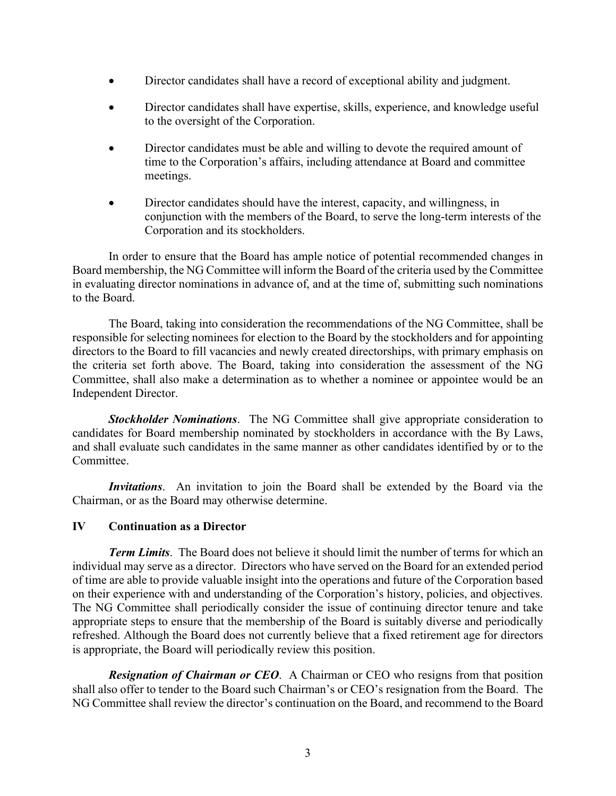- Director candidates shall have a record of exceptional ability and judgment.
- Director candidates shall have expertise, skills, experience, and knowledge useful to the oversight of the Corporation.
- Director candidates must be able and willing to devote the required amount of time to the Corporation's affairs, including attendance at Board and committee meetings.
- Director candidates should have the interest, capacity, and willingness, in conjunction with the members of the Board, to serve the long-term interests of the Corporation and its stockholders.

In order to ensure that the Board has ample notice of potential recommended changes in Board membership, the NG Committee will inform the Board of the criteria used by the Committee in evaluating director nominations in advance of, and at the time of, submitting such nominations to the Board.

The Board, taking into consideration the recommendations of the NG Committee, shall be responsible for selecting nominees for election to the Board by the stockholders and for appointing directors to the Board to fill vacancies and newly created directorships, with primary emphasis on the criteria set forth above. The Board, taking into consideration the assessment of the NG Committee, shall also make a determination as to whether a nominee or appointee would be an Independent Director.

*Stockholder Nominations*. The NG Committee shall give appropriate consideration to candidates for Board membership nominated by stockholders in accordance with the By Laws, and shall evaluate such candidates in the same manner as other candidates identified by or to the Committee.

*Invitations*. An invitation to join the Board shall be extended by the Board via the Chairman, or as the Board may otherwise determine.

# **IV Continuation as a Director**

*Term Limits*. The Board does not believe it should limit the number of terms for which an individual may serve as a director. Directors who have served on the Board for an extended period of time are able to provide valuable insight into the operations and future of the Corporation based on their experience with and understanding of the Corporation's history, policies, and objectives. The NG Committee shall periodically consider the issue of continuing director tenure and take appropriate steps to ensure that the membership of the Board is suitably diverse and periodically refreshed. Although the Board does not currently believe that a fixed retirement age for directors is appropriate, the Board will periodically review this position.

*Resignation of Chairman or CEO*. A Chairman or CEO who resigns from that position shall also offer to tender to the Board such Chairman's or CEO's resignation from the Board. The NG Committee shall review the director's continuation on the Board, and recommend to the Board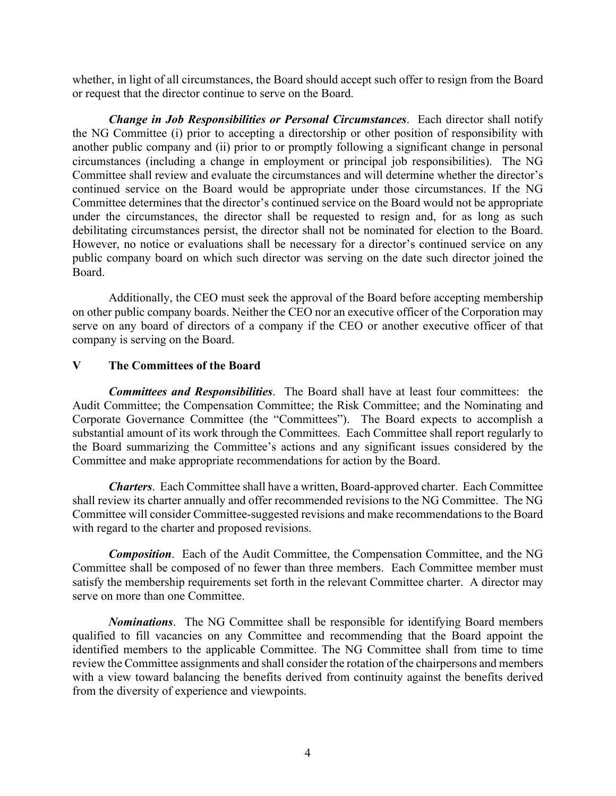whether, in light of all circumstances, the Board should accept such offer to resign from the Board or request that the director continue to serve on the Board.

*Change in Job Responsibilities or Personal Circumstances*. Each director shall notify the NG Committee (i) prior to accepting a directorship or other position of responsibility with another public company and (ii) prior to or promptly following a significant change in personal circumstances (including a change in employment or principal job responsibilities). The NG Committee shall review and evaluate the circumstances and will determine whether the director's continued service on the Board would be appropriate under those circumstances. If the NG Committee determines that the director's continued service on the Board would not be appropriate under the circumstances, the director shall be requested to resign and, for as long as such debilitating circumstances persist, the director shall not be nominated for election to the Board. However, no notice or evaluations shall be necessary for a director's continued service on any public company board on which such director was serving on the date such director joined the Board.

Additionally, the CEO must seek the approval of the Board before accepting membership on other public company boards. Neither the CEO nor an executive officer of the Corporation may serve on any board of directors of a company if the CEO or another executive officer of that company is serving on the Board.

# **V The Committees of the Board**

*Committees and Responsibilities*. The Board shall have at least four committees: the Audit Committee; the Compensation Committee; the Risk Committee; and the Nominating and Corporate Governance Committee (the "Committees"). The Board expects to accomplish a substantial amount of its work through the Committees. Each Committee shall report regularly to the Board summarizing the Committee's actions and any significant issues considered by the Committee and make appropriate recommendations for action by the Board.

*Charters*. Each Committee shall have a written, Board-approved charter. Each Committee shall review its charter annually and offer recommended revisions to the NG Committee. The NG Committee will consider Committee-suggested revisions and make recommendations to the Board with regard to the charter and proposed revisions.

*Composition*. Each of the Audit Committee, the Compensation Committee, and the NG Committee shall be composed of no fewer than three members. Each Committee member must satisfy the membership requirements set forth in the relevant Committee charter. A director may serve on more than one Committee.

*Nominations*. The NG Committee shall be responsible for identifying Board members qualified to fill vacancies on any Committee and recommending that the Board appoint the identified members to the applicable Committee. The NG Committee shall from time to time review the Committee assignments and shall consider the rotation of the chairpersons and members with a view toward balancing the benefits derived from continuity against the benefits derived from the diversity of experience and viewpoints.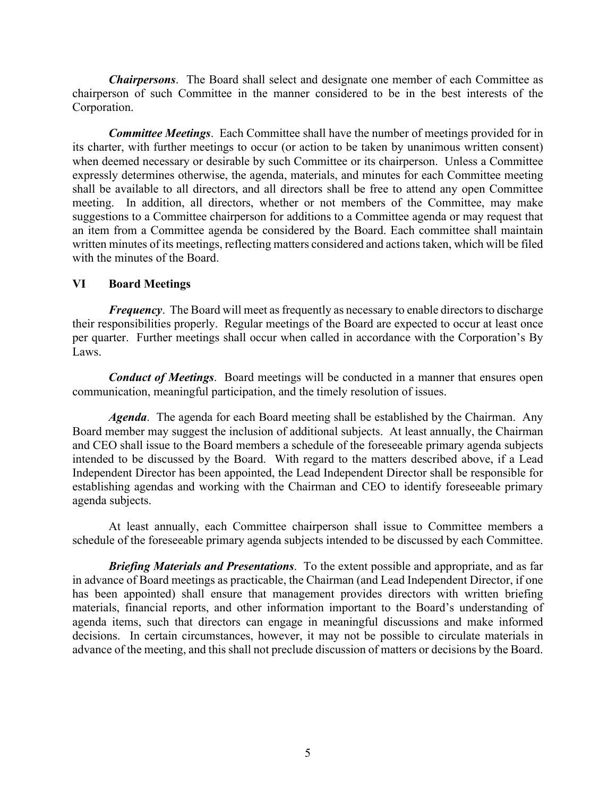*Chairpersons*. The Board shall select and designate one member of each Committee as chairperson of such Committee in the manner considered to be in the best interests of the Corporation.

*Committee Meetings*. Each Committee shall have the number of meetings provided for in its charter, with further meetings to occur (or action to be taken by unanimous written consent) when deemed necessary or desirable by such Committee or its chairperson. Unless a Committee expressly determines otherwise, the agenda, materials, and minutes for each Committee meeting shall be available to all directors, and all directors shall be free to attend any open Committee meeting. In addition, all directors, whether or not members of the Committee, may make suggestions to a Committee chairperson for additions to a Committee agenda or may request that an item from a Committee agenda be considered by the Board. Each committee shall maintain written minutes of its meetings, reflecting matters considered and actions taken, which will be filed with the minutes of the Board.

## **VI Board Meetings**

*Frequency*. The Board will meet as frequently as necessary to enable directors to discharge their responsibilities properly. Regular meetings of the Board are expected to occur at least once per quarter. Further meetings shall occur when called in accordance with the Corporation's By Laws.

*Conduct of Meetings*. Board meetings will be conducted in a manner that ensures open communication, meaningful participation, and the timely resolution of issues.

*Agenda*. The agenda for each Board meeting shall be established by the Chairman. Any Board member may suggest the inclusion of additional subjects. At least annually, the Chairman and CEO shall issue to the Board members a schedule of the foreseeable primary agenda subjects intended to be discussed by the Board. With regard to the matters described above, if a Lead Independent Director has been appointed, the Lead Independent Director shall be responsible for establishing agendas and working with the Chairman and CEO to identify foreseeable primary agenda subjects.

At least annually, each Committee chairperson shall issue to Committee members a schedule of the foreseeable primary agenda subjects intended to be discussed by each Committee.

*Briefing Materials and Presentations*. To the extent possible and appropriate, and as far in advance of Board meetings as practicable, the Chairman (and Lead Independent Director, if one has been appointed) shall ensure that management provides directors with written briefing materials, financial reports, and other information important to the Board's understanding of agenda items, such that directors can engage in meaningful discussions and make informed decisions. In certain circumstances, however, it may not be possible to circulate materials in advance of the meeting, and this shall not preclude discussion of matters or decisions by the Board.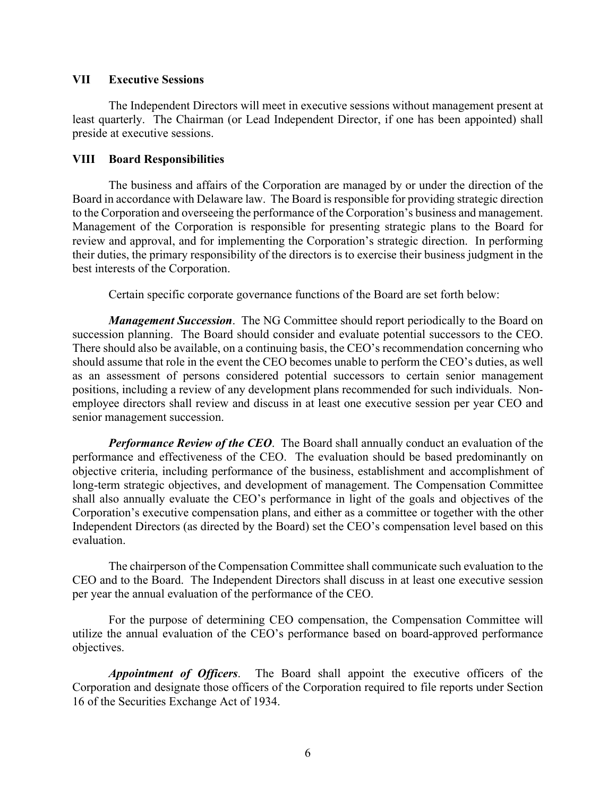### **VII Executive Sessions**

The Independent Directors will meet in executive sessions without management present at least quarterly. The Chairman (or Lead Independent Director, if one has been appointed) shall preside at executive sessions.

## **VIII Board Responsibilities**

The business and affairs of the Corporation are managed by or under the direction of the Board in accordance with Delaware law. The Board is responsible for providing strategic direction to the Corporation and overseeing the performance of the Corporation's business and management. Management of the Corporation is responsible for presenting strategic plans to the Board for review and approval, and for implementing the Corporation's strategic direction. In performing their duties, the primary responsibility of the directors is to exercise their business judgment in the best interests of the Corporation.

Certain specific corporate governance functions of the Board are set forth below:

*Management Succession*. The NG Committee should report periodically to the Board on succession planning. The Board should consider and evaluate potential successors to the CEO. There should also be available, on a continuing basis, the CEO's recommendation concerning who should assume that role in the event the CEO becomes unable to perform the CEO's duties, as well as an assessment of persons considered potential successors to certain senior management positions, including a review of any development plans recommended for such individuals. Nonemployee directors shall review and discuss in at least one executive session per year CEO and senior management succession.

*Performance Review of the CEO*. The Board shall annually conduct an evaluation of the performance and effectiveness of the CEO. The evaluation should be based predominantly on objective criteria, including performance of the business, establishment and accomplishment of long-term strategic objectives, and development of management. The Compensation Committee shall also annually evaluate the CEO's performance in light of the goals and objectives of the Corporation's executive compensation plans, and either as a committee or together with the other Independent Directors (as directed by the Board) set the CEO's compensation level based on this evaluation.

The chairperson of the Compensation Committee shall communicate such evaluation to the CEO and to the Board. The Independent Directors shall discuss in at least one executive session per year the annual evaluation of the performance of the CEO.

For the purpose of determining CEO compensation, the Compensation Committee will utilize the annual evaluation of the CEO's performance based on board-approved performance objectives.

*Appointment of Officers*. The Board shall appoint the executive officers of the Corporation and designate those officers of the Corporation required to file reports under Section 16 of the Securities Exchange Act of 1934.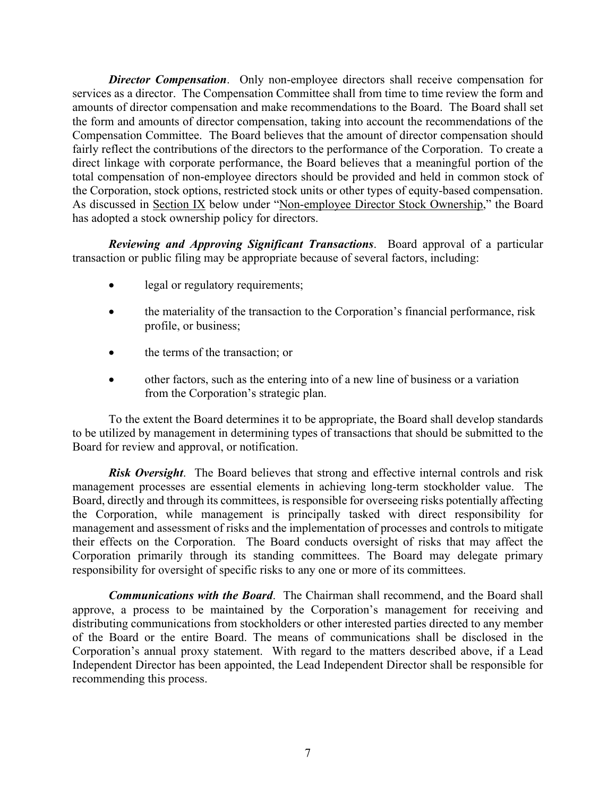*Director Compensation*. Only non-employee directors shall receive compensation for services as a director. The Compensation Committee shall from time to time review the form and amounts of director compensation and make recommendations to the Board. The Board shall set the form and amounts of director compensation, taking into account the recommendations of the Compensation Committee. The Board believes that the amount of director compensation should fairly reflect the contributions of the directors to the performance of the Corporation. To create a direct linkage with corporate performance, the Board believes that a meaningful portion of the total compensation of non-employee directors should be provided and held in common stock of the Corporation, stock options, restricted stock units or other types of equity-based compensation. As discussed in Section IX below under "Non-employee Director Stock Ownership," the Board has adopted a stock ownership policy for directors.

*Reviewing and Approving Significant Transactions*. Board approval of a particular transaction or public filing may be appropriate because of several factors, including:

- legal or regulatory requirements;
- the materiality of the transaction to the Corporation's financial performance, risk profile, or business;
- the terms of the transaction; or
- other factors, such as the entering into of a new line of business or a variation from the Corporation's strategic plan.

To the extent the Board determines it to be appropriate, the Board shall develop standards to be utilized by management in determining types of transactions that should be submitted to the Board for review and approval, or notification.

*Risk Oversight*. The Board believes that strong and effective internal controls and risk management processes are essential elements in achieving long-term stockholder value. The Board, directly and through its committees, is responsible for overseeing risks potentially affecting the Corporation, while management is principally tasked with direct responsibility for management and assessment of risks and the implementation of processes and controls to mitigate their effects on the Corporation. The Board conducts oversight of risks that may affect the Corporation primarily through its standing committees. The Board may delegate primary responsibility for oversight of specific risks to any one or more of its committees.

*Communications with the Board*. The Chairman shall recommend, and the Board shall approve, a process to be maintained by the Corporation's management for receiving and distributing communications from stockholders or other interested parties directed to any member of the Board or the entire Board. The means of communications shall be disclosed in the Corporation's annual proxy statement. With regard to the matters described above, if a Lead Independent Director has been appointed, the Lead Independent Director shall be responsible for recommending this process.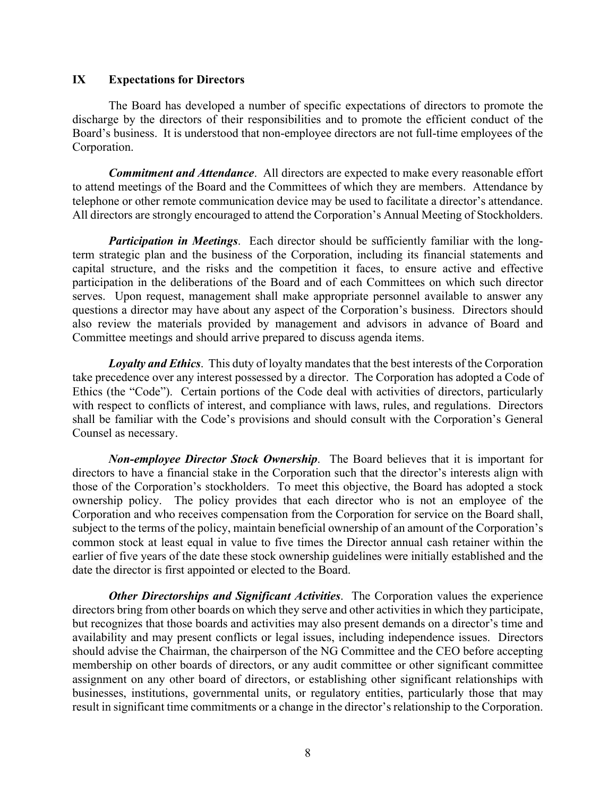## **IX Expectations for Directors**

The Board has developed a number of specific expectations of directors to promote the discharge by the directors of their responsibilities and to promote the efficient conduct of the Board's business. It is understood that non-employee directors are not full-time employees of the Corporation.

*Commitment and Attendance*. All directors are expected to make every reasonable effort to attend meetings of the Board and the Committees of which they are members. Attendance by telephone or other remote communication device may be used to facilitate a director's attendance. All directors are strongly encouraged to attend the Corporation's Annual Meeting of Stockholders.

*Participation in Meetings*. Each director should be sufficiently familiar with the longterm strategic plan and the business of the Corporation, including its financial statements and capital structure, and the risks and the competition it faces, to ensure active and effective participation in the deliberations of the Board and of each Committees on which such director serves. Upon request, management shall make appropriate personnel available to answer any questions a director may have about any aspect of the Corporation's business. Directors should also review the materials provided by management and advisors in advance of Board and Committee meetings and should arrive prepared to discuss agenda items.

*Loyalty and Ethics*. This duty of loyalty mandates that the best interests of the Corporation take precedence over any interest possessed by a director. The Corporation has adopted a Code of Ethics (the "Code"). Certain portions of the Code deal with activities of directors, particularly with respect to conflicts of interest, and compliance with laws, rules, and regulations. Directors shall be familiar with the Code's provisions and should consult with the Corporation's General Counsel as necessary.

*Non-employee Director Stock Ownership*. The Board believes that it is important for directors to have a financial stake in the Corporation such that the director's interests align with those of the Corporation's stockholders. To meet this objective, the Board has adopted a stock ownership policy. The policy provides that each director who is not an employee of the Corporation and who receives compensation from the Corporation for service on the Board shall, subject to the terms of the policy, maintain beneficial ownership of an amount of the Corporation's common stock at least equal in value to five times the Director annual cash retainer within the earlier of five years of the date these stock ownership guidelines were initially established and the date the director is first appointed or elected to the Board.

*Other Directorships and Significant Activities*. The Corporation values the experience directors bring from other boards on which they serve and other activities in which they participate, but recognizes that those boards and activities may also present demands on a director's time and availability and may present conflicts or legal issues, including independence issues. Directors should advise the Chairman, the chairperson of the NG Committee and the CEO before accepting membership on other boards of directors, or any audit committee or other significant committee assignment on any other board of directors, or establishing other significant relationships with businesses, institutions, governmental units, or regulatory entities, particularly those that may result in significant time commitments or a change in the director's relationship to the Corporation.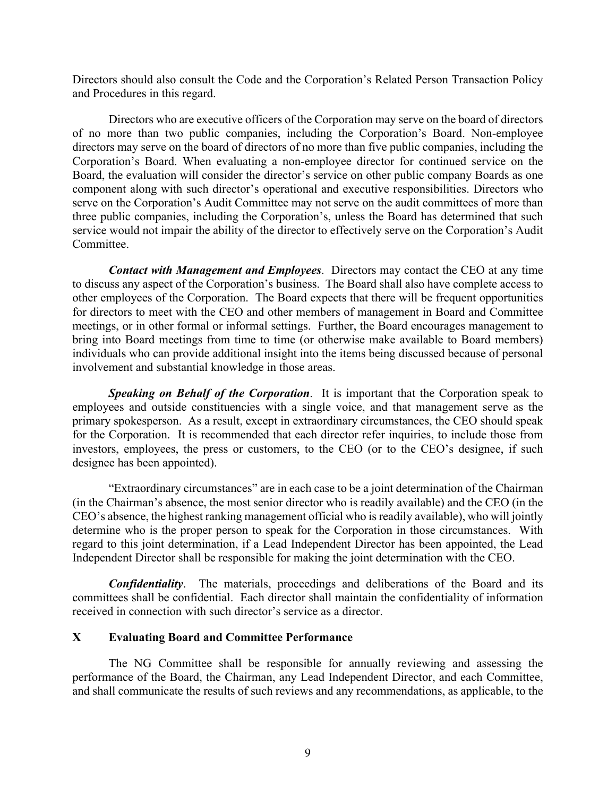Directors should also consult the Code and the Corporation's Related Person Transaction Policy and Procedures in this regard.

Directors who are executive officers of the Corporation may serve on the board of directors of no more than two public companies, including the Corporation's Board. Non-employee directors may serve on the board of directors of no more than five public companies, including the Corporation's Board. When evaluating a non-employee director for continued service on the Board, the evaluation will consider the director's service on other public company Boards as one component along with such director's operational and executive responsibilities. Directors who serve on the Corporation's Audit Committee may not serve on the audit committees of more than three public companies, including the Corporation's, unless the Board has determined that such service would not impair the ability of the director to effectively serve on the Corporation's Audit Committee.

*Contact with Management and Employees*. Directors may contact the CEO at any time to discuss any aspect of the Corporation's business. The Board shall also have complete access to other employees of the Corporation. The Board expects that there will be frequent opportunities for directors to meet with the CEO and other members of management in Board and Committee meetings, or in other formal or informal settings. Further, the Board encourages management to bring into Board meetings from time to time (or otherwise make available to Board members) individuals who can provide additional insight into the items being discussed because of personal involvement and substantial knowledge in those areas.

*Speaking on Behalf of the Corporation*. It is important that the Corporation speak to employees and outside constituencies with a single voice, and that management serve as the primary spokesperson. As a result, except in extraordinary circumstances, the CEO should speak for the Corporation. It is recommended that each director refer inquiries, to include those from investors, employees, the press or customers, to the CEO (or to the CEO's designee, if such designee has been appointed).

"Extraordinary circumstances" are in each case to be a joint determination of the Chairman (in the Chairman's absence, the most senior director who is readily available) and the CEO (in the CEO's absence, the highest ranking management official who is readily available), who will jointly determine who is the proper person to speak for the Corporation in those circumstances. With regard to this joint determination, if a Lead Independent Director has been appointed, the Lead Independent Director shall be responsible for making the joint determination with the CEO.

*Confidentiality*. The materials, proceedings and deliberations of the Board and its committees shall be confidential. Each director shall maintain the confidentiality of information received in connection with such director's service as a director.

#### **X Evaluating Board and Committee Performance**

The NG Committee shall be responsible for annually reviewing and assessing the performance of the Board, the Chairman, any Lead Independent Director, and each Committee, and shall communicate the results of such reviews and any recommendations, as applicable, to the